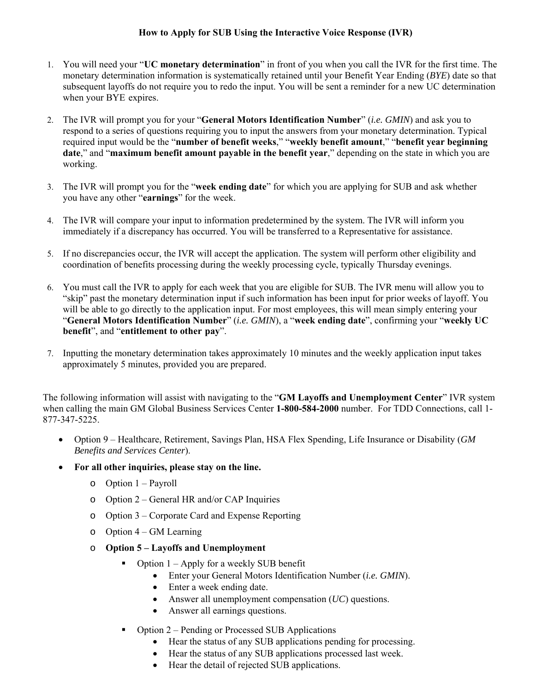## **How to Apply for SUB Using the Interactive Voice Response (IVR)**

- 1. You will need your "**UC monetary determination**" in front of you when you call the IVR for the first time. The monetary determination information is systematically retained until your Benefit Year Ending (*BYE*) date so that subsequent layoffs do not require you to redo the input. You will be sent a reminder for a new UC determination when your BYE expires.
- 2. The IVR will prompt you for your "**General Motors Identification Number**" (*i.e. GMIN*) and ask you to respond to a series of questions requiring you to input the answers from your monetary determination. Typical required input would be the "**number of benefit weeks**," "**weekly benefit amount**," "**benefit year beginning date**," and "**maximum benefit amount payable in the benefit year**," depending on the state in which you are working.
- 3. The IVR will prompt you for the "**week ending date**" for which you are applying for SUB and ask whether you have any other "**earnings**" for the week.
- 4. The IVR will compare your input to information predetermined by the system. The IVR will inform you immediately if a discrepancy has occurred. You will be transferred to a Representative for assistance.
- 5. If no discrepancies occur, the IVR will accept the application. The system will perform other eligibility and coordination of benefits processing during the weekly processing cycle, typically Thursday evenings.
- 6. You must call the IVR to apply for each week that you are eligible for SUB. The IVR menu will allow you to "skip" past the monetary determination input if such information has been input for prior weeks of layoff. You will be able to go directly to the application input. For most employees, this will mean simply entering your "**General Motors Identification Number**" (*i.e. GMIN*), a "**week ending date**", confirming your "**weekly UC benefit**", and "**entitlement to other pay**".
- 7. Inputting the monetary determination takes approximately 10 minutes and the weekly application input takes approximately 5 minutes, provided you are prepared.

The following information will assist with navigating to the "**GM Layoffs and Unemployment Center**" IVR system when calling the main GM Global Business Services Center **1-800-584-2000** number. For TDD Connections, call 1- 877-347-5225.

- Option 9 Healthcare, Retirement, Savings Plan, HSA Flex Spending, Life Insurance or Disability (*GM Benefits and Services Center*).
- **For all other inquiries, please stay on the line.** 
	- o Option 1 Payroll
	- o Option 2 General HR and/or CAP Inquiries
	- o Option 3 Corporate Card and Expense Reporting
	- $\circ$  Option 4 GM Learning
	- o **Option 5 Layoffs and Unemployment** 
		- Option 1 Apply for a weekly SUB benefit
			- Enter your General Motors Identification Number (*i.e. GMIN*).
			- Enter a week ending date.
			- Answer all unemployment compensation (*UC*) questions.
			- Answer all earnings questions.
		- Option 2 Pending or Processed SUB Applications
			- Hear the status of any SUB applications pending for processing.
			- Hear the status of any SUB applications processed last week.
			- Hear the detail of rejected SUB applications.